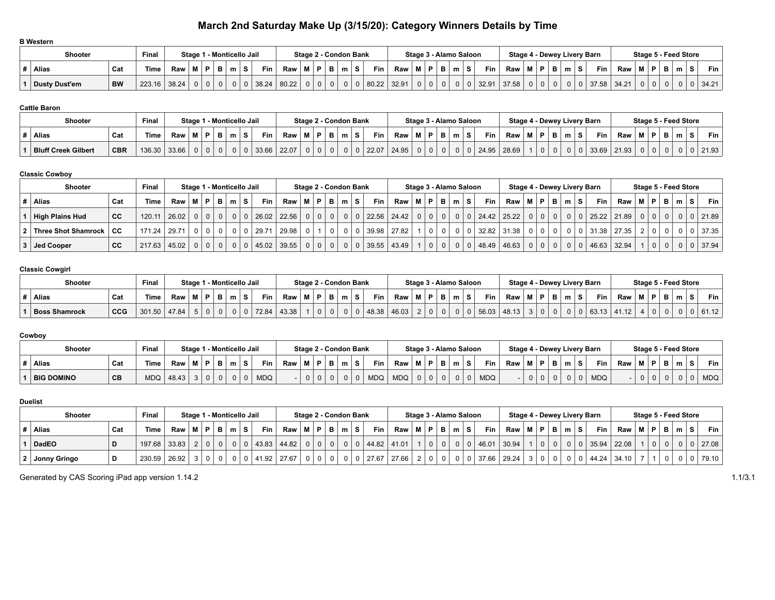# **March 2nd Saturday Make Up (3/15/20): Category Winners Details by Time**

| <b>B</b> Western     |           |             |        |   |              |                           |                                                                |  |       |                       |    |       |             |             |                                  |                |                |           |                                    |                |              |                |                |                |       |             |                      |    |   |       |
|----------------------|-----------|-------------|--------|---|--------------|---------------------------|----------------------------------------------------------------|--|-------|-----------------------|----|-------|-------------|-------------|----------------------------------|----------------|----------------|-----------|------------------------------------|----------------|--------------|----------------|----------------|----------------|-------|-------------|----------------------|----|---|-------|
| <b>Shooter</b>       |           | Final       |        |   |              | Stage 1 - Monticello Jail |                                                                |  |       | Stage 2 - Condon Bank |    |       |             |             | Stage 3 - Alamo Saloon           |                |                |           | <b>Stage 4 - Dewey Livery Barn</b> |                |              |                |                |                |       |             | Stage 5 - Feed Store |    |   |       |
| <b>Alias</b>         | Cat       | <b>Time</b> | Raw MI | D | B I          | <b>Fin</b><br>s.          | $\mathsf{Raw} \mid \mathsf{M} \mid \mathsf{P} \mid \mathsf{B}$ |  |       | m                     | s. | Fin - | Raw         | M   P       |                                  | - B I          | m <sub>1</sub> | Fin       | Raw   M                            |                | P.           | B I            | m <sup>1</sup> | S              | Fin I | <b>Raw</b>  | M   P                | в. | m | Fin I |
| <b>Dusty Dust'em</b> | <b>BW</b> | 223.16      | 38.24  |   | $\mathbf{0}$ | 38.24                     | 80.22                                                          |  | 0 0 0 |                       | 0  |       | 80.22 32.91 | $\mathbf 0$ | $\begin{array}{c} 0 \end{array}$ | 0 <sup>1</sup> |                | 0   32.91 | 37.58                              | 0 <sup>1</sup> | $\mathbf{0}$ | 0 <sup>1</sup> | 0 <sup>1</sup> | 0 <sup>1</sup> |       | 37.58 34.21 |                      |    |   | 34.21 |

### **Cattle Baron**

| <b>Shooter</b>             |            | Final       |       | Stage 1        |          |          | 1 - Monticello Jail |       |          |              |        | Stage 2 - Condon Bank |       |       |  | Stage 3 - Alamo Saloon |         | Stage 4 - Dewey Livery Barn |   |   |            |       | Stage 5 - Feed Store |   |   |       |
|----------------------------|------------|-------------|-------|----------------|----------|----------|---------------------|-------|----------|--------------|--------|-----------------------|-------|-------|--|------------------------|---------|-----------------------------|---|---|------------|-------|----------------------|---|---|-------|
| Alias                      | Cat        | <b>Time</b> | Raw   |                | D        | в        | <b>Fin</b><br>-3    | Raw   |          |              | $\sim$ |                       | Fin   | Raw   |  |                        | $Fin +$ | Raw                         | Ð | m | <b>Fin</b> | Raw   |                      | ⋼ | m | Fin   |
| <b>Bluff Creek Gilbert</b> | <b>CBR</b> | 136.30      | 33.66 | 0 <sup>1</sup> | $\Omega$ | $\Omega$ | 33.66               | 22.07 | $\Omega$ | $\mathbf{0}$ |        |                       | 22.07 | 24.95 |  |                        | 24.95   | 28.69                       |   |   | 33.69      | 21.93 |                      | 0 |   | 21.93 |

#### **Classic Cowboy**

| <b>Shooter</b>             |           | Final  |                 |      |              |                |                | Stage 1 - Monticello Jail |               |                       |     | Stage 2 - Condon Bank |                |                |             |            |                                                |          | Stage 3 - Alamo Saloon |   |          |       |                     |          |                |                | Stage 4 - Dewey Livery Barn |             | Stage 5 - Feed Store |                 |                |     |               |
|----------------------------|-----------|--------|-----------------|------|--------------|----------------|----------------|---------------------------|---------------|-----------------------|-----|-----------------------|----------------|----------------|-------------|------------|------------------------------------------------|----------|------------------------|---|----------|-------|---------------------|----------|----------------|----------------|-----------------------------|-------------|----------------------|-----------------|----------------|-----|---------------|
| Alias                      | Cat       | Time   | Raw             | !M ∣ | P            | в              | m <sub>1</sub> | S.                        | <b>Fin</b>    | Raw                   | M I | P                     | - B I          | m              | s           | <b>Fin</b> | $\mathsf{Raw} \mid \mathsf{M} \mid \mathsf{P}$ |          | B I                    | m | S.       | Fin   | Raw M P             |          | . B I          | ∣m∣<br>S.      | Fin L                       | Raw         | $M$ $P$              |                 | в              | m S | <b>Fin</b>    |
| <b>High Plains Hud</b>     | <b>CC</b> | 120.11 | 26.02           |      | $0 0 0 0 0 $ |                |                |                           |               | 0   0   26.02   22.56 |     | $\overline{0}$        | $\circ$        | 0 <sup>1</sup> |             | 0   22.56  | 24.42                                          |          | $0 0 0 0 0 $           |   | $\Omega$ |       | $24.42$   25.22   0 |          | 0 <sup>1</sup> | 0 <sup>1</sup> |                             | 25.22 21.89 |                      | 0 0             | 0 <sup>1</sup> |     | 0   0   21.89 |
| ∣ Three Shot Shamrock │ CC |           | 171.24 | 29.71           |      | $0$   $0$    | $\overline{0}$ |                |                           | 0   0   29.71 | 29.98                 |     |                       | 0 <sup>1</sup> |                | $\Omega$    | 39.98      | 27.82                                          | $\Omega$ |                        |   |          | 32.82 | 31.38               |          | 0 <sup>1</sup> | $\Omega$       |                             | 31.38 27.35 |                      | 2 0             |                |     | 37.35         |
| Jed Cooper                 | <b>CC</b> | 217.63 | $ 45.02\rangle$ |      | 0 0 0        |                |                |                           |               | 0   0   45.02   39.55 |     | $\overline{0}$        | 0 <sup>1</sup> | 0 <sup>1</sup> | $\mathbf 0$ | 39.55      | 43.49                                          |          | $01$ 0                 |   |          | 48.49 | 46.63               | $\Omega$ | 0 <sup>1</sup> | $\mathbf{0}$   |                             | 46.63 32.94 |                      | $\vert 0 \vert$ | $\Omega$       |     | 37.94         |

# **Classic Cowgirl**

| Shooter              |            | Final  |       | Stage 1 - Monticello Jail |   |    |   |       |       |     |            |   | Stage 2 - Condon Bank |       |       | Stage 3 - Alamo Saloon |  |   |       |       |   |   |        | Stage 4 - Dewey Livery Barn |                |   |  |   | Stage 5 - Feed Store |       |
|----------------------|------------|--------|-------|---------------------------|---|----|---|-------|-------|-----|------------|---|-----------------------|-------|-------|------------------------|--|---|-------|-------|---|---|--------|-----------------------------|----------------|---|--|---|----------------------|-------|
| Alias                | Cat        | Time   | Raw   |                           | Ð | в. |   | Fin   | Raw   | RЛ. | <b>D</b> I | m |                       | Fin   | Raw   |                        |  | m | Fin   | Raw   | Ð | в | $\sim$ | Fin                         | Raw            | м |  | m |                      | Fin I |
| <b>Boss Shamrock</b> | <b>CCG</b> | 301.50 | 47.84 |                           |   |    | 0 | 72.84 | 43.38 |     |            |   |                       | 48.38 | 46.03 |                        |  |   | 56.03 | 48.13 |   | υ |        | 63.13                       | 11.12<br>41.12 |   |  |   |                      | 61.12 |

#### **Cowboy**

| Shooter           |     | Final      |       |   |   | Stage 1 - Monticello Jail |            |     |     |          |   | Stage 2 - Condon Bank |            |            | Stage 3 - Alamo Saloon |   |   |            |     |             |   |   |   | Stage 4 - Dewey Livery Barn |     | Stage 5 - Feed Store |   |        |   |            |
|-------------------|-----|------------|-------|---|---|---------------------------|------------|-----|-----|----------|---|-----------------------|------------|------------|------------------------|---|---|------------|-----|-------------|---|---|---|-----------------------------|-----|----------------------|---|--------|---|------------|
| Alias             | Cat | Time       | Raw   | Ð | в | s                         | Fin        | Raw | M I | <b>P</b> | m |                       | <b>Fin</b> | Raw        |                        | Ð | m | <b>Fin</b> | Raw | <b>BA</b> 1 | Ð | В | m | <b>Fin</b>                  | Raw | <b>BA</b>            | Ð | $\sim$ | o | Fin        |
| <b>BIG DOMINO</b> | CВ  | <b>MDQ</b> | 48.43 |   |   |                           | <b>MDQ</b> |     |     |          |   | 0                     | <b>MDQ</b> | <b>MDQ</b> |                        |   |   | <b>MDQ</b> |     | v           |   |   |   | <b>MDQ</b>                  |     |                      | 0 |        |   | <b>MDQ</b> |

#### **Duelist**

| <b>Shooter</b> |     | Final       |       |          |             | Stage 1 - Monticello Jail |       | Stage 2 - Condon Bank |          |   |   |       |       |      |   | Stage 3 - Alamo Saloon |          |                 |       |     |     |   |   | Stage 4 - Dewey Livery Barn |       |           |   | Stage 5 - Feed Store |           |
|----------------|-----|-------------|-------|----------|-------------|---------------------------|-------|-----------------------|----------|---|---|-------|-------|------|---|------------------------|----------|-----------------|-------|-----|-----|---|---|-----------------------------|-------|-----------|---|----------------------|-----------|
| Alias          | Cat | <b>Time</b> | Raw   |          | в           | <b>Fin</b><br>S.          | Raw   | P                     | B        | m | s | Fin,  | Raw   | ∣M I | P |                        | <b>S</b> | <b>Fin</b>      | Raw   | M I | P I | в | m | <b>Fin</b>                  | Raw   | <b>MP</b> | в | m                    | Fin       |
| <b>DadEO</b>   |     | 197.68      | 33.83 | $\Omega$ | $\mathbf 0$ | 43.83                     | 44.82 | $\Omega$              | $\Omega$ |   |   | 44.82 | 41.01 |      |   |                        |          | 46.01           | 30.94 |     |     |   |   | 35.94                       | 22.08 | $\Omega$  |   | 0 <sup>1</sup>       | 0   27.08 |
| Jonny Gringo   |     | 230.59      | 26.92 |          |             | 41.92                     | 27.67 |                       | $\Omega$ |   |   | 27.67 | 27.66 |      |   |                        |          | $37.66$ $\vert$ | 29.24 |     |     |   |   | 44.24                       | 34.10 |           |   |                      | 79.10     |

Generated by CAS Scoring iPad app version 1.14.2 1.1/3.1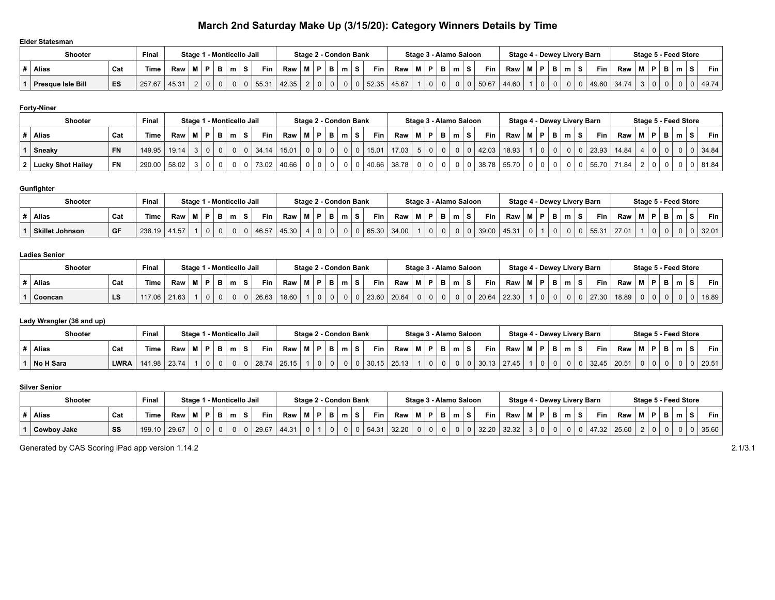# **March 2nd Saturday Make Up (3/15/20): Category Winners Details by Time**

#### **Elder Statesman**

| <b>Shooter</b>           |     | Final  |       |     |    | Stage 1 - Monticello Jail |       |             | Stage 2 - Condon Bank |   |   |       |       |             |   | Stage 3 - Alamo Saloon |  |       | Stage 4 - Dewey Livery Barn |    |    |   |       |       |  | Stage 5 - Feed Store |       |
|--------------------------|-----|--------|-------|-----|----|---------------------------|-------|-------------|-----------------------|---|---|-------|-------|-------------|---|------------------------|--|-------|-----------------------------|----|----|---|-------|-------|--|----------------------|-------|
| <b>Alias</b>             | Cat | Time   | Raw   |     | в. | Fin                       | Raw   | $^+$ M $^+$ | . .                   | в | m | Fin   | Raw   | <b>B.A.</b> | Ð | B,                     |  | Fin   | Raw                         | мI | P. | m | Fin   | Raw   |  |                      | Fin + |
| <b>Presque Isle Bill</b> | ES  | 257.67 | 45.31 | - 0 | 0  | 55.31                     | 42.35 |             |                       |   |   | 52.35 | 45.67 |             |   | $\mathbf{0}$           |  | 50.67 | 44.60                       |    |    |   | 49.60 | 34.74 |  |                      | 49.74 |

### **Forty-Niner**

| <b>Shooter</b>           |           | Final       |       |  |              | Stage 1 - Monticello Jail |           |       | Stage 2 - Condon Bank |    |   |   |                |            |       |          |   | Stage 3 - Alamo Saloon |   |       |             |          |              |                | Stage 4 - Dewey Livery Barn |       |             |   | Stage 5 - Feed Store |       |
|--------------------------|-----------|-------------|-------|--|--------------|---------------------------|-----------|-------|-----------------------|----|---|---|----------------|------------|-------|----------|---|------------------------|---|-------|-------------|----------|--------------|----------------|-----------------------------|-------|-------------|---|----------------------|-------|
| <b>Alias</b>             | Cat       | <b>Time</b> | Raw   |  | $\mathbf{B}$ |                           | Fin<br>s. | Raw   | M I                   | P. | B | m |                | <b>Fin</b> | Raw I | <b>M</b> | Ð | в                      | m | Fin   | Raw         | P        | в            | m <sub>1</sub> | Fin.                        | Raw   | P           | - | m                    | Fin I |
| Sneaky                   | <b>FN</b> | 149.95      | 19.14 |  |              |                           | 34.14     | 15.01 |                       |    |   |   | $\overline{0}$ | 15.01      | 17.03 |          |   |                        |   | 42.03 | 18.93       | $\Omega$ | $\mathbf{0}$ |                | 23.93                       | 14.84 | $\mathbf 0$ |   |                      | 34.84 |
| <b>Lucky Shot Hailey</b> | <b>FN</b> | 290.00      | 58.02 |  |              |                           | 73.02     | 40.66 |                       |    |   |   | 0              | 40.66      | 38.78 |          |   |                        |   |       | 38.78 55.70 |          |              |                | 55.70                       | 71.84 |             |   |                      | 81.84 |

### **Gunfighter**

| <b>Shooter</b>         |     | Final  |       |  |          |   | Stage 1 - Monticello Jail |       | Stage 2 - Condon Bank |     |   |    |       |       |           | Stage 3 - Alamo Saloon |   |   |       |       |   |   |   | Stage 4 - Dewey Livery Barn |       | Stage 5 - Feed Store |          |   |       |
|------------------------|-----|--------|-------|--|----------|---|---------------------------|-------|-----------------------|-----|---|----|-------|-------|-----------|------------------------|---|---|-------|-------|---|---|---|-----------------------------|-------|----------------------|----------|---|-------|
| Alias                  | Cat | Time . | Raw   |  | в        | m | Fin<br>s                  | Raw   | P                     | . . | m | S. | Fin   | Raw   | <b>BA</b> |                        | P | m | Fin   | Raw   | Ð | В | m | <b>Fin</b>                  | Raw   |                      | P        | m | Fin.  |
| <b>Skillet Johnson</b> | GF  | 238.19 | 41.57 |  | $\Omega$ |   | 46.57                     | 45.30 |                       |     |   |    | 65.30 | 34.00 |           |                        |   |   | 39.00 | 45.31 |   |   | 0 | 55.31                       | 27.01 | $\Omega$             | $\Omega$ |   | 32.01 |

#### **Ladies Senior**

| . |              |     |             |       |         |   |   |                     |   |            |       |   |    |   |                       |            |            |                        |   |   |            |                             |  |   |       |       |                      |    |   |   |       |
|---|--------------|-----|-------------|-------|---------|---|---|---------------------|---|------------|-------|---|----|---|-----------------------|------------|------------|------------------------|---|---|------------|-----------------------------|--|---|-------|-------|----------------------|----|---|---|-------|
|   | Shooter      |     | Final       |       | Stage 1 |   |   | 1 - Monticello Jail |   |            |       |   |    |   | Stage 2 - Condon Bank |            |            | Stage 3 - Alamo Saloon |   |   |            | Stage 4 - Dewey Livery Barn |  |   |       |       | Stage 5 - Feed Store |    |   |   |       |
|   | <b>Alias</b> | Cat | <b>Time</b> | Raw   |         | D | в |                     | s | <b>Fin</b> | Raw   | M | P. | m |                       | <b>Fin</b> | <b>Raw</b> | <br>Ð                  | в | m | <b>Fin</b> | Raw                         |  | m | Fin   | Raw   |                      | D. | P | m | Fin . |
|   | Cooncan      | LS  | 117.06      | 21.63 |         |   |   | 0 <sub>1</sub>      |   | 26.63      | 18.60 |   |    |   | $\Omega$              | 23.60      | 20.64      |                        |   |   | 20.64      | 22.30                       |  | 0 | 27.30 | 18.89 |                      |    | 0 |   | 18.89 |

## **Lady Wrangler (36 and up)**

| Shooter   |             | Final       |       |  |          |   | Stage 1 - Monticello Jail |       |    |  | Stage 2 - Condon Bank |       |       | Stage 3 - Alamo Saloon |     |   |       |       |          |   |        | Stage 4 - Dewey Livery Barn |       | Stage 5 - Feed Store |    |   |   |   |       |
|-----------|-------------|-------------|-------|--|----------|---|---------------------------|-------|----|--|-----------------------|-------|-------|------------------------|-----|---|-------|-------|----------|---|--------|-----------------------------|-------|----------------------|----|---|---|---|-------|
| Alias     | Cat         | <b>Time</b> | Raw I |  | в        | m | Fin<br>o.                 | Raw   | в. |  | e                     | Fin 1 | Raw   |                        | - 6 | m | Fin   | Raw   |          | - | $\sim$ | Fin I                       | Raw   | М                    | в. | E | m | Ð | Fin   |
| No H Sara | <b>LWRA</b> | 141.98      | 23.74 |  | $\Omega$ |   | 28.74                     | 25.15 |    |  |                       | 30.15 | 25.13 |                        |     | υ | 30.13 | 27.45 | $\Omega$ | 0 |        | 32.45                       | 20.51 |                      |    |   |   |   | 20.51 |

#### **Silver Senior**

| Shooter            |     | Final       |       |                |              | Stage 1 - Monticello Jail |   |       |       |    |          | Stage 2 - Condon Bank |   |       |       | Stage 3 - Alamo Saloon |    |     |   |              |       | Stage 4 - Dewey Livery Barn |     |    |  |       |       |  |   | Stage 5 - Feed Store |       |
|--------------------|-----|-------------|-------|----------------|--------------|---------------------------|---|-------|-------|----|----------|-----------------------|---|-------|-------|------------------------|----|-----|---|--------------|-------|-----------------------------|-----|----|--|-------|-------|--|---|----------------------|-------|
| Alias              | Cat | <b>Time</b> | Raw   |                | в            | $m_{\perp}$               | s | Fin   | Raw I | в. | <b>B</b> | m                     | s | Fin,  | Raw   | M I                    | P. | . . | m | $\mathbf{z}$ | Fin   | Raw                         | . M | D. |  | Fin   | Raw   |  | m |                      | Fin   |
| <b>Cowboy Jake</b> | SS  | 199.10      | 29.67 | 0 <sup>1</sup> | $\mathbf{0}$ |                           |   | 29.67 | 44.31 |    | $\Omega$ |                       |   | 54.31 | 32.20 |                        |    |     |   |              | 32.20 | 32.32                       |     |    |  | 47.32 | 25.60 |  |   |                      | 35.60 |

Generated by CAS Scoring iPad app version 1.14.2 2013.1